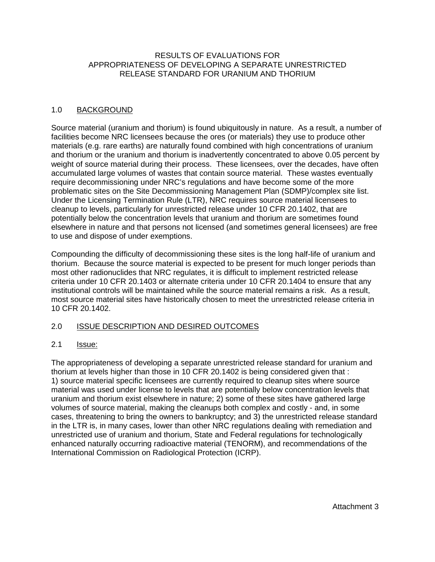## RESULTS OF EVALUATIONS FOR APPROPRIATENESS OF DEVELOPING A SEPARATE UNRESTRICTED RELEASE STANDARD FOR URANIUM AND THORIUM

## 1.0 BACKGROUND

Source material (uranium and thorium) is found ubiquitously in nature. As a result, a number of facilities become NRC licensees because the ores (or materials) they use to produce other materials (e.g. rare earths) are naturally found combined with high concentrations of uranium and thorium or the uranium and thorium is inadvertently concentrated to above 0.05 percent by weight of source material during their process. These licensees, over the decades, have often accumulated large volumes of wastes that contain source material. These wastes eventually require decommissioning under NRC's regulations and have become some of the more problematic sites on the Site Decommissioning Management Plan (SDMP)/complex site list. Under the Licensing Termination Rule (LTR), NRC requires source material licensees to cleanup to levels, particularly for unrestricted release under 10 CFR 20.1402, that are potentially below the concentration levels that uranium and thorium are sometimes found elsewhere in nature and that persons not licensed (and sometimes general licensees) are free to use and dispose of under exemptions.

Compounding the difficulty of decommissioning these sites is the long half-life of uranium and thorium. Because the source material is expected to be present for much longer periods than most other radionuclides that NRC regulates, it is difficult to implement restricted release criteria under 10 CFR 20.1403 or alternate criteria under 10 CFR 20.1404 to ensure that any institutional controls will be maintained while the source material remains a risk. As a result, most source material sites have historically chosen to meet the unrestricted release criteria in 10 CFR 20.1402.

## 2.0 ISSUE DESCRIPTION AND DESIRED OUTCOMES

## 2.1 Issue:

The appropriateness of developing a separate unrestricted release standard for uranium and thorium at levels higher than those in 10 CFR 20.1402 is being considered given that : 1) source material specific licensees are currently required to cleanup sites where source material was used under license to levels that are potentially below concentration levels that uranium and thorium exist elsewhere in nature; 2) some of these sites have gathered large volumes of source material, making the cleanups both complex and costly - and, in some cases, threatening to bring the owners to bankruptcy; and 3) the unrestricted release standard in the LTR is, in many cases, lower than other NRC regulations dealing with remediation and unrestricted use of uranium and thorium, State and Federal regulations for technologically enhanced naturally occurring radioactive material (TENORM), and recommendations of the International Commission on Radiological Protection (ICRP).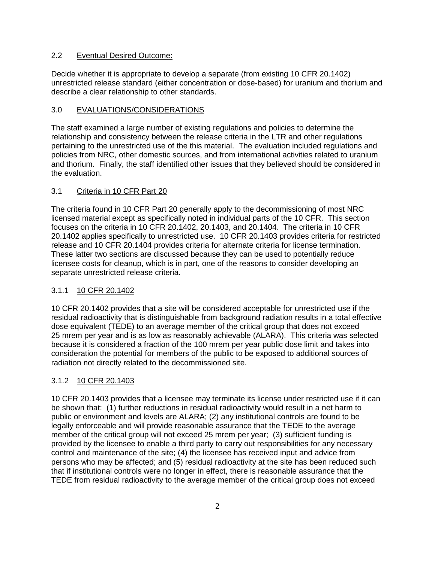## 2.2 Eventual Desired Outcome:

Decide whether it is appropriate to develop a separate (from existing 10 CFR 20.1402) unrestricted release standard (either concentration or dose-based) for uranium and thorium and describe a clear relationship to other standards.

## 3.0 EVALUATIONS/CONSIDERATIONS

The staff examined a large number of existing regulations and policies to determine the relationship and consistency between the release criteria in the LTR and other regulations pertaining to the unrestricted use of the this material. The evaluation included regulations and policies from NRC, other domestic sources, and from international activities related to uranium and thorium. Finally, the staff identified other issues that they believed should be considered in the evaluation.

## 3.1 Criteria in 10 CFR Part 20

The criteria found in 10 CFR Part 20 generally apply to the decommissioning of most NRC licensed material except as specifically noted in individual parts of the 10 CFR. This section focuses on the criteria in 10 CFR 20.1402, 20.1403, and 20.1404. The criteria in 10 CFR 20.1402 applies specifically to unrestricted use. 10 CFR 20.1403 provides criteria for restricted release and 10 CFR 20.1404 provides criteria for alternate criteria for license termination. These latter two sections are discussed because they can be used to potentially reduce licensee costs for cleanup, which is in part, one of the reasons to consider developing an separate unrestricted release criteria.

## 3.1.1 10 CFR 20.1402

10 CFR 20.1402 provides that a site will be considered acceptable for unrestricted use if the residual radioactivity that is distinguishable from background radiation results in a total effective dose equivalent (TEDE) to an average member of the critical group that does not exceed 25 mrem per year and is as low as reasonably achievable (ALARA). This criteria was selected because it is considered a fraction of the 100 mrem per year public dose limit and takes into consideration the potential for members of the public to be exposed to additional sources of radiation not directly related to the decommissioned site.

# 3.1.2 10 CFR 20.1403

10 CFR 20.1403 provides that a licensee may terminate its license under restricted use if it can be shown that: (1) further reductions in residual radioactivity would result in a net harm to public or environment and levels are ALARA; (2) any institutional controls are found to be legally enforceable and will provide reasonable assurance that the TEDE to the average member of the critical group will not exceed 25 mrem per year; (3) sufficient funding is provided by the licensee to enable a third party to carry out responsibilities for any necessary control and maintenance of the site; (4) the licensee has received input and advice from persons who may be affected; and (5) residual radioactivity at the site has been reduced such that if institutional controls were no longer in effect, there is reasonable assurance that the TEDE from residual radioactivity to the average member of the critical group does not exceed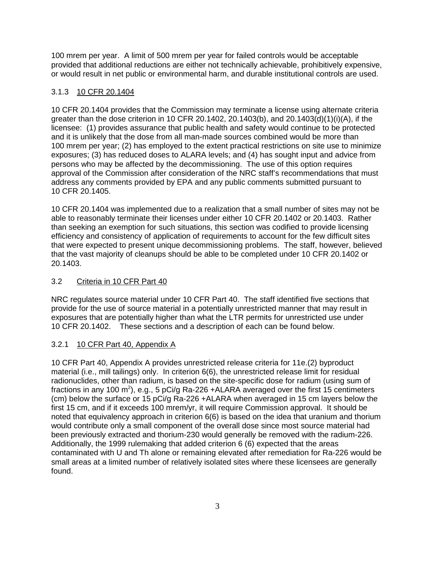100 mrem per year. A limit of 500 mrem per year for failed controls would be acceptable provided that additional reductions are either not technically achievable, prohibitively expensive, or would result in net public or environmental harm, and durable institutional controls are used.

# 3.1.3 10 CFR 20.1404

10 CFR 20.1404 provides that the Commission may terminate a license using alternate criteria greater than the dose criterion in 10 CFR 20.1402, 20.1403(b), and 20.1403(d)(1)(i)(A), if the licensee: (1) provides assurance that public health and safety would continue to be protected and it is unlikely that the dose from all man-made sources combined would be more than 100 mrem per year; (2) has employed to the extent practical restrictions on site use to minimize exposures; (3) has reduced doses to ALARA levels; and (4) has sought input and advice from persons who may be affected by the decommissioning. The use of this option requires approval of the Commission after consideration of the NRC staff's recommendations that must address any comments provided by EPA and any public comments submitted pursuant to 10 CFR 20.1405.

10 CFR 20.1404 was implemented due to a realization that a small number of sites may not be able to reasonably terminate their licenses under either 10 CFR 20.1402 or 20.1403. Rather than seeking an exemption for such situations, this section was codified to provide licensing efficiency and consistency of application of requirements to account for the few difficult sites that were expected to present unique decommissioning problems. The staff, however, believed that the vast majority of cleanups should be able to be completed under 10 CFR 20.1402 or 20.1403.

## 3.2 Criteria in 10 CFR Part 40

NRC regulates source material under 10 CFR Part 40. The staff identified five sections that provide for the use of source material in a potentially unrestricted manner that may result in exposures that are potentially higher than what the LTR permits for unrestricted use under 10 CFR 20.1402. These sections and a description of each can be found below.

## 3.2.1 10 CFR Part 40, Appendix A

10 CFR Part 40, Appendix A provides unrestricted release criteria for 11e.(2) byproduct material (i.e., mill tailings) only. In criterion 6(6), the unrestricted release limit for residual radionuclides, other than radium, is based on the site-specific dose for radium (using sum of fractions in any 100 m<sup>2</sup>), e.g., 5 pCi/g Ra-226 +ALARA averaged over the first 15 centimeters (cm) below the surface or 15 pCi/g Ra-226 +ALARA when averaged in 15 cm layers below the first 15 cm, and if it exceeds 100 mrem/yr, it will require Commission approval. It should be noted that equivalency approach in criterion 6(6) is based on the idea that uranium and thorium would contribute only a small component of the overall dose since most source material had been previously extracted and thorium-230 would generally be removed with the radium-226. Additionally, the 1999 rulemaking that added criterion 6 (6) expected that the areas contaminated with U and Th alone or remaining elevated after remediation for Ra-226 would be small areas at a limited number of relatively isolated sites where these licensees are generally found.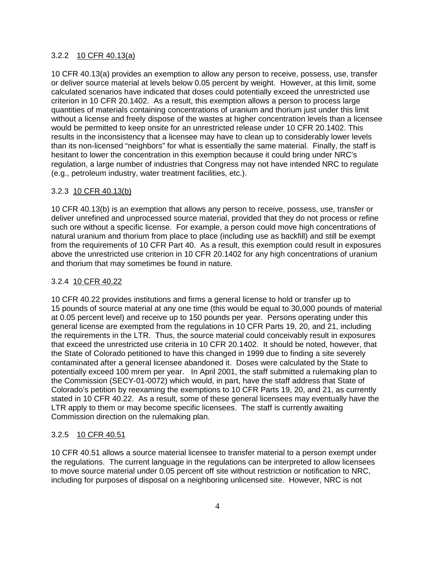### 3.2.2 10 CFR 40.13(a)

10 CFR 40.13(a) provides an exemption to allow any person to receive, possess, use, transfer or deliver source material at levels below 0.05 percent by weight. However, at this limit, some calculated scenarios have indicated that doses could potentially exceed the unrestricted use criterion in 10 CFR 20.1402. As a result, this exemption allows a person to process large quantities of materials containing concentrations of uranium and thorium just under this limit without a license and freely dispose of the wastes at higher concentration levels than a licensee would be permitted to keep onsite for an unrestricted release under 10 CFR 20.1402. This results in the inconsistency that a licensee may have to clean up to considerably lower levels than its non-licensed "neighbors" for what is essentially the same material. Finally, the staff is hesitant to lower the concentration in this exemption because it could bring under NRC's regulation, a large number of industries that Congress may not have intended NRC to regulate (e.g., petroleum industry, water treatment facilities, etc.).

## 3.2.3 10 CFR 40.13(b)

10 CFR 40.13(b) is an exemption that allows any person to receive, possess, use, transfer or deliver unrefined and unprocessed source material, provided that they do not process or refine such ore without a specific license. For example, a person could move high concentrations of natural uranium and thorium from place to place (including use as backfill) and still be exempt from the requirements of 10 CFR Part 40. As a result, this exemption could result in exposures above the unrestricted use criterion in 10 CFR 20.1402 for any high concentrations of uranium and thorium that may sometimes be found in nature.

## 3.2.4 10 CFR 40.22

10 CFR 40.22 provides institutions and firms a general license to hold or transfer up to 15 pounds of source material at any one time (this would be equal to 30,000 pounds of material at 0.05 percent level) and receive up to 150 pounds per year. Persons operating under this general license are exempted from the regulations in 10 CFR Parts 19, 20, and 21, including the requirements in the LTR. Thus, the source material could conceivably result in exposures that exceed the unrestricted use criteria in 10 CFR 20.1402. It should be noted, however, that the State of Colorado petitioned to have this changed in 1999 due to finding a site severely contaminated after a general licensee abandoned it. Doses were calculated by the State to potentially exceed 100 mrem per year. In April 2001, the staff submitted a rulemaking plan to the Commission (SECY-01-0072) which would, in part, have the staff address that State of Colorado's petition by reexaming the exemptions to 10 CFR Parts 19, 20, and 21, as currently stated in 10 CFR 40.22. As a result, some of these general licensees may eventually have the LTR apply to them or may become specific licensees. The staff is currently awaiting Commission direction on the rulemaking plan.

## 3.2.5 10 CFR 40.51

10 CFR 40.51 allows a source material licensee to transfer material to a person exempt under the regulations. The current language in the regulations can be interpreted to allow licensees to move source material under 0.05 percent off site without restriction or notification to NRC, including for purposes of disposal on a neighboring unlicensed site. However, NRC is not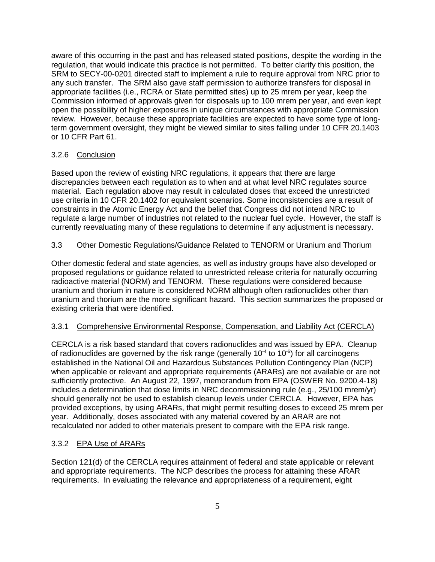aware of this occurring in the past and has released stated positions, despite the wording in the regulation, that would indicate this practice is not permitted. To better clarify this position, the SRM to SECY-00-0201 directed staff to implement a rule to require approval from NRC prior to any such transfer. The SRM also gave staff permission to authorize transfers for disposal in appropriate facilities (i.e., RCRA or State permitted sites) up to 25 mrem per year, keep the Commission informed of approvals given for disposals up to 100 mrem per year, and even kept open the possibility of higher exposures in unique circumstances with appropriate Commission review. However, because these appropriate facilities are expected to have some type of longterm government oversight, they might be viewed similar to sites falling under 10 CFR 20.1403 or 10 CFR Part 61.

## 3.2.6 Conclusion

Based upon the review of existing NRC regulations, it appears that there are large discrepancies between each regulation as to when and at what level NRC regulates source material. Each regulation above may result in calculated doses that exceed the unrestricted use criteria in 10 CFR 20.1402 for equivalent scenarios. Some inconsistencies are a result of constraints in the Atomic Energy Act and the belief that Congress did not intend NRC to regulate a large number of industries not related to the nuclear fuel cycle. However, the staff is currently reevaluating many of these regulations to determine if any adjustment is necessary.

### 3.3 Other Domestic Regulations/Guidance Related to TENORM or Uranium and Thorium

Other domestic federal and state agencies, as well as industry groups have also developed or proposed regulations or guidance related to unrestricted release criteria for naturally occurring radioactive material (NORM) and TENORM. These regulations were considered because uranium and thorium in nature is considered NORM although often radionuclides other than uranium and thorium are the more significant hazard. This section summarizes the proposed or existing criteria that were identified.

## 3.3.1 Comprehensive Environmental Response, Compensation, and Liability Act (CERCLA)

CERCLA is a risk based standard that covers radionuclides and was issued by EPA. Cleanup of radionuclides are governed by the risk range (generally  $10^{-4}$  to  $10^{-6}$ ) for all carcinogens established in the National Oil and Hazardous Substances Pollution Contingency Plan (NCP) when applicable or relevant and appropriate requirements (ARARs) are not available or are not sufficiently protective. An August 22, 1997, memorandum from EPA (OSWER No. 9200.4-18) includes a determination that dose limits in NRC decommissioning rule (e.g., 25/100 mrem/yr) should generally not be used to establish cleanup levels under CERCLA. However, EPA has provided exceptions, by using ARARs, that might permit resulting doses to exceed 25 mrem per year. Additionally, doses associated with any material covered by an ARAR are not recalculated nor added to other materials present to compare with the EPA risk range.

### 3.3.2 EPA Use of ARARs

Section 121(d) of the CERCLA requires attainment of federal and state applicable or relevant and appropriate requirements. The NCP describes the process for attaining these ARAR requirements. In evaluating the relevance and appropriateness of a requirement, eight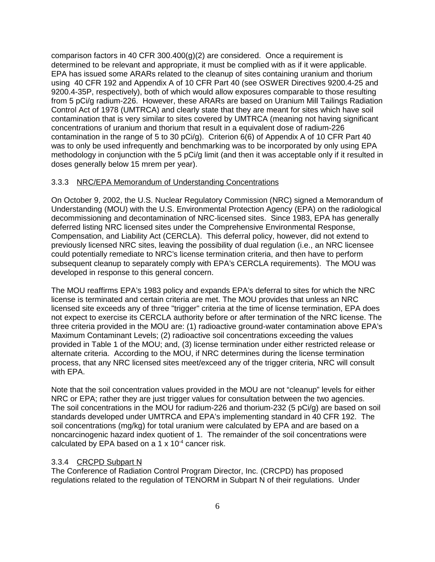comparison factors in 40 CFR 300.400(g)(2) are considered. Once a requirement is determined to be relevant and appropriate, it must be complied with as if it were applicable. EPA has issued some ARARs related to the cleanup of sites containing uranium and thorium using 40 CFR 192 and Appendix A of 10 CFR Part 40 (see OSWER Directives 9200.4-25 and 9200.4-35P, respectively), both of which would allow exposures comparable to those resulting from 5 pCi/g radium-226. However, these ARARs are based on Uranium Mill Tailings Radiation Control Act of 1978 (UMTRCA) and clearly state that they are meant for sites which have soil contamination that is very similar to sites covered by UMTRCA (meaning not having significant concentrations of uranium and thorium that result in a equivalent dose of radium-226 contamination in the range of 5 to 30 pCi/g). Criterion 6(6) of Appendix A of 10 CFR Part 40 was to only be used infrequently and benchmarking was to be incorporated by only using EPA methodology in conjunction with the 5 pCi/g limit (and then it was acceptable only if it resulted in doses generally below 15 mrem per year).

### 3.3.3 NRC/EPA Memorandum of Understanding Concentrations

On October 9, 2002, the U.S. Nuclear Regulatory Commission (NRC) signed a Memorandum of Understanding (MOU) with the U.S. Environmental Protection Agency (EPA) on the radiological decommissioning and decontamination of NRC-licensed sites. Since 1983, EPA has generally deferred listing NRC licensed sites under the Comprehensive Environmental Response, Compensation, and Liability Act (CERCLA). This deferral policy, however, did not extend to previously licensed NRC sites, leaving the possibility of dual regulation (i.e., an NRC licensee could potentially remediate to NRC's license termination criteria, and then have to perform subsequent cleanup to separately comply with EPA's CERCLA requirements). The MOU was developed in response to this general concern.

The MOU reaffirms EPA's 1983 policy and expands EPA's deferral to sites for which the NRC license is terminated and certain criteria are met. The MOU provides that unless an NRC licensed site exceeds any of three "trigger" criteria at the time of license termination, EPA does not expect to exercise its CERCLA authority before or after termination of the NRC license. The three criteria provided in the MOU are: (1) radioactive ground-water contamination above EPA's Maximum Contaminant Levels; (2) radioactive soil concentrations exceeding the values provided in Table 1 of the MOU; and, (3) license termination under either restricted release or alternate criteria. According to the MOU, if NRC determines during the license termination process, that any NRC licensed sites meet/exceed any of the trigger criteria, NRC will consult with EPA.

Note that the soil concentration values provided in the MOU are not "cleanup" levels for either NRC or EPA; rather they are just trigger values for consultation between the two agencies. The soil concentrations in the MOU for radium-226 and thorium-232 (5 pCi/g) are based on soil standards developed under UMTRCA and EPA's implementing standard in 40 CFR 192. The soil concentrations (mg/kg) for total uranium were calculated by EPA and are based on a noncarcinogenic hazard index quotient of 1. The remainder of the soil concentrations were calculated by EPA based on a 1  $\times$  10<sup>-4</sup> cancer risk.

### 3.3.4 CRCPD Subpart N

The Conference of Radiation Control Program Director, Inc. (CRCPD) has proposed regulations related to the regulation of TENORM in Subpart N of their regulations. Under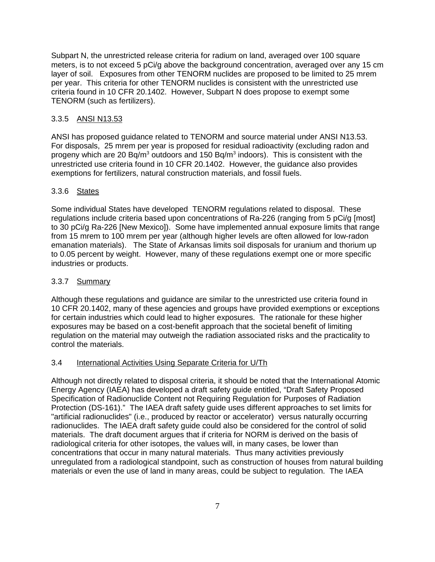Subpart N, the unrestricted release criteria for radium on land, averaged over 100 square meters, is to not exceed 5 pCi/g above the background concentration, averaged over any 15 cm layer of soil. Exposures from other TENORM nuclides are proposed to be limited to 25 mrem per year. This criteria for other TENORM nuclides is consistent with the unrestricted use criteria found in 10 CFR 20.1402. However, Subpart N does propose to exempt some TENORM (such as fertilizers).

## 3.3.5 ANSI N13.53

ANSI has proposed guidance related to TENORM and source material under ANSI N13.53. For disposals, 25 mrem per year is proposed for residual radioactivity (excluding radon and progeny which are 20 Bq/m<sup>3</sup> outdoors and 150 Bq/m<sup>3</sup> indoors). This is consistent with the unrestricted use criteria found in 10 CFR 20.1402. However, the guidance also provides exemptions for fertilizers, natural construction materials, and fossil fuels.

## 3.3.6 States

Some individual States have developed TENORM regulations related to disposal. These regulations include criteria based upon concentrations of Ra-226 (ranging from 5 pCi/g [most] to 30 pCi/g Ra-226 [New Mexico]). Some have implemented annual exposure limits that range from 15 mrem to 100 mrem per year (although higher levels are often allowed for low-radon emanation materials). The State of Arkansas limits soil disposals for uranium and thorium up to 0.05 percent by weight. However, many of these regulations exempt one or more specific industries or products.

## 3.3.7 Summary

Although these regulations and guidance are similar to the unrestricted use criteria found in 10 CFR 20.1402, many of these agencies and groups have provided exemptions or exceptions for certain industries which could lead to higher exposures. The rationale for these higher exposures may be based on a cost-benefit approach that the societal benefit of limiting regulation on the material may outweigh the radiation associated risks and the practicality to control the materials.

## 3.4 International Activities Using Separate Criteria for U/Th

Although not directly related to disposal criteria, it should be noted that the International Atomic Energy Agency (IAEA) has developed a draft safety guide entitled, "Draft Safety Proposed Specification of Radionuclide Content not Requiring Regulation for Purposes of Radiation Protection (DS-161)." The IAEA draft safety guide uses different approaches to set limits for "artificial radionuclides" (i.e., produced by reactor or accelerator) versus naturally occurring radionuclides. The IAEA draft safety guide could also be considered for the control of solid materials. The draft document argues that if criteria for NORM is derived on the basis of radiological criteria for other isotopes, the values will, in many cases, be lower than concentrations that occur in many natural materials. Thus many activities previously unregulated from a radiological standpoint, such as construction of houses from natural building materials or even the use of land in many areas, could be subject to regulation. The IAEA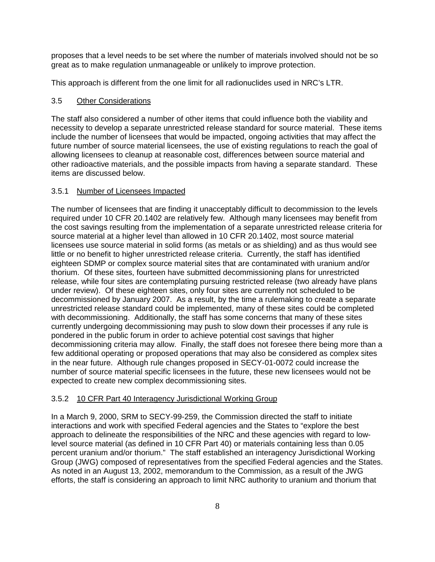proposes that a level needs to be set where the number of materials involved should not be so great as to make regulation unmanageable or unlikely to improve protection.

This approach is different from the one limit for all radionuclides used in NRC's LTR.

### 3.5 Other Considerations

The staff also considered a number of other items that could influence both the viability and necessity to develop a separate unrestricted release standard for source material. These items include the number of licensees that would be impacted, ongoing activities that may affect the future number of source material licensees, the use of existing regulations to reach the goal of allowing licensees to cleanup at reasonable cost, differences between source material and other radioactive materials, and the possible impacts from having a separate standard. These items are discussed below.

## 3.5.1 Number of Licensees Impacted

The number of licensees that are finding it unacceptably difficult to decommission to the levels required under 10 CFR 20.1402 are relatively few. Although many licensees may benefit from the cost savings resulting from the implementation of a separate unrestricted release criteria for source material at a higher level than allowed in 10 CFR 20.1402, most source material licensees use source material in solid forms (as metals or as shielding) and as thus would see little or no benefit to higher unrestricted release criteria. Currently, the staff has identified eighteen SDMP or complex source material sites that are contaminated with uranium and/or thorium. Of these sites, fourteen have submitted decommissioning plans for unrestricted release, while four sites are contemplating pursuing restricted release (two already have plans under review). Of these eighteen sites, only four sites are currently not scheduled to be decommissioned by January 2007. As a result, by the time a rulemaking to create a separate unrestricted release standard could be implemented, many of these sites could be completed with decommissioning. Additionally, the staff has some concerns that many of these sites currently undergoing decommissioning may push to slow down their processes if any rule is pondered in the public forum in order to achieve potential cost savings that higher decommissioning criteria may allow. Finally, the staff does not foresee there being more than a few additional operating or proposed operations that may also be considered as complex sites in the near future. Although rule changes proposed in SECY-01-0072 could increase the number of source material specific licensees in the future, these new licensees would not be expected to create new complex decommissioning sites.

## 3.5.2 10 CFR Part 40 Interagency Jurisdictional Working Group

In a March 9, 2000, SRM to SECY-99-259, the Commission directed the staff to initiate interactions and work with specified Federal agencies and the States to "explore the best approach to delineate the responsibilities of the NRC and these agencies with regard to lowlevel source material (as defined in 10 CFR Part 40) or materials containing less than 0.05 percent uranium and/or thorium." The staff established an interagency Jurisdictional Working Group (JWG) composed of representatives from the specified Federal agencies and the States. As noted in an August 13, 2002, memorandum to the Commission, as a result of the JWG efforts, the staff is considering an approach to limit NRC authority to uranium and thorium that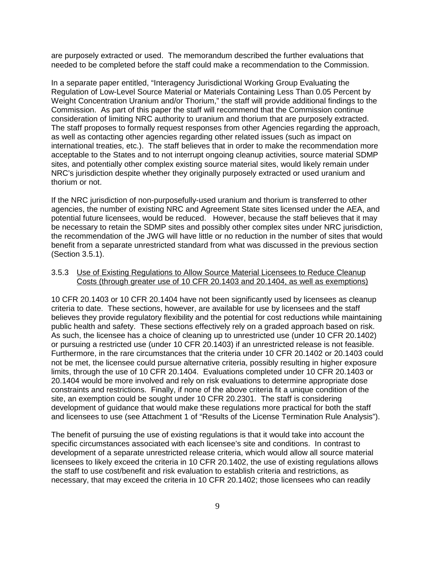are purposely extracted or used. The memorandum described the further evaluations that needed to be completed before the staff could make a recommendation to the Commission.

In a separate paper entitled, "Interagency Jurisdictional Working Group Evaluating the Regulation of Low-Level Source Material or Materials Containing Less Than 0.05 Percent by Weight Concentration Uranium and/or Thorium," the staff will provide additional findings to the Commission. As part of this paper the staff will recommend that the Commission continue consideration of limiting NRC authority to uranium and thorium that are purposely extracted. The staff proposes to formally request responses from other Agencies regarding the approach, as well as contacting other agencies regarding other related issues (such as impact on international treaties, etc.). The staff believes that in order to make the recommendation more acceptable to the States and to not interrupt ongoing cleanup activities, source material SDMP sites, and potentially other complex existing source material sites, would likely remain under NRC's jurisdiction despite whether they originally purposely extracted or used uranium and thorium or not.

If the NRC jurisdiction of non-purposefully-used uranium and thorium is transferred to other agencies, the number of existing NRC and Agreement State sites licensed under the AEA, and potential future licensees, would be reduced. However, because the staff believes that it may be necessary to retain the SDMP sites and possibly other complex sites under NRC jurisdiction, the recommendation of the JWG will have little or no reduction in the number of sites that would benefit from a separate unrestricted standard from what was discussed in the previous section (Section 3.5.1).

### 3.5.3 Use of Existing Regulations to Allow Source Material Licensees to Reduce Cleanup Costs (through greater use of 10 CFR 20.1403 and 20.1404, as well as exemptions)

10 CFR 20.1403 or 10 CFR 20.1404 have not been significantly used by licensees as cleanup criteria to date. These sections, however, are available for use by licensees and the staff believes they provide regulatory flexibility and the potential for cost reductions while maintaining public health and safety. These sections effectively rely on a graded approach based on risk. As such, the licensee has a choice of cleaning up to unrestricted use (under 10 CFR 20.1402) or pursuing a restricted use (under 10 CFR 20.1403) if an unrestricted release is not feasible. Furthermore, in the rare circumstances that the criteria under 10 CFR 20.1402 or 20.1403 could not be met, the licensee could pursue alternative criteria, possibly resulting in higher exposure limits, through the use of 10 CFR 20.1404. Evaluations completed under 10 CFR 20.1403 or 20.1404 would be more involved and rely on risk evaluations to determine appropriate dose constraints and restrictions. Finally, if none of the above criteria fit a unique condition of the site, an exemption could be sought under 10 CFR 20.2301. The staff is considering development of guidance that would make these regulations more practical for both the staff and licensees to use (see Attachment 1 of "Results of the License Termination Rule Analysis").

The benefit of pursuing the use of existing regulations is that it would take into account the specific circumstances associated with each licensee's site and conditions. In contrast to development of a separate unrestricted release criteria, which would allow all source material licensees to likely exceed the criteria in 10 CFR 20.1402, the use of existing regulations allows the staff to use cost/benefit and risk evaluation to establish criteria and restrictions, as necessary, that may exceed the criteria in 10 CFR 20.1402; those licensees who can readily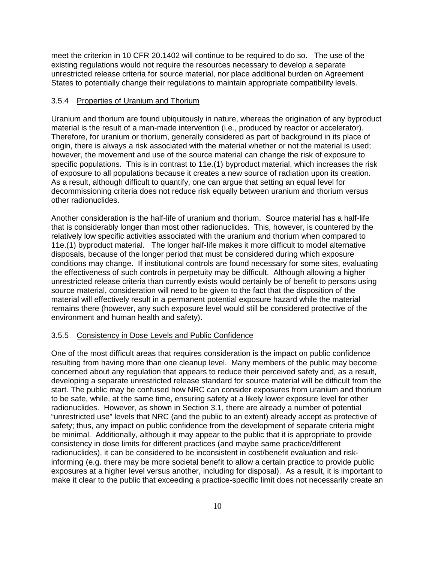meet the criterion in 10 CFR 20.1402 will continue to be required to do so. The use of the existing regulations would not require the resources necessary to develop a separate unrestricted release criteria for source material, nor place additional burden on Agreement States to potentially change their regulations to maintain appropriate compatibility levels.

### 3.5.4 Properties of Uranium and Thorium

Uranium and thorium are found ubiquitously in nature, whereas the origination of any byproduct material is the result of a man-made intervention (i.e., produced by reactor or accelerator). Therefore, for uranium or thorium, generally considered as part of background in its place of origin, there is always a risk associated with the material whether or not the material is used; however, the movement and use of the source material can change the risk of exposure to specific populations. This is in contrast to 11e.(1) byproduct material, which increases the risk of exposure to all populations because it creates a new source of radiation upon its creation. As a result, although difficult to quantify, one can argue that setting an equal level for decommissioning criteria does not reduce risk equally between uranium and thorium versus other radionuclides.

Another consideration is the half-life of uranium and thorium. Source material has a half-life that is considerably longer than most other radionuclides. This, however, is countered by the relatively low specific activities associated with the uranium and thorium when compared to 11e.(1) byproduct material. The longer half-life makes it more difficult to model alternative disposals, because of the longer period that must be considered during which exposure conditions may change. If institutional controls are found necessary for some sites, evaluating the effectiveness of such controls in perpetuity may be difficult. Although allowing a higher unrestricted release criteria than currently exists would certainly be of benefit to persons using source material, consideration will need to be given to the fact that the disposition of the material will effectively result in a permanent potential exposure hazard while the material remains there (however, any such exposure level would still be considered protective of the environment and human health and safety).

#### 3.5.5 Consistency in Dose Levels and Public Confidence

One of the most difficult areas that requires consideration is the impact on public confidence resulting from having more than one cleanup level. Many members of the public may become concerned about any regulation that appears to reduce their perceived safety and, as a result, developing a separate unrestricted release standard for source material will be difficult from the start. The public may be confused how NRC can consider exposures from uranium and thorium to be safe, while, at the same time, ensuring safety at a likely lower exposure level for other radionuclides. However, as shown in Section 3.1, there are already a number of potential "unrestricted use" levels that NRC (and the public to an extent) already accept as protective of safety; thus, any impact on public confidence from the development of separate criteria might be minimal. Additionally, although it may appear to the public that it is appropriate to provide consistency in dose limits for different practices (and maybe same practice/different radionuclides), it can be considered to be inconsistent in cost/benefit evaluation and riskinforming (e.g. there may be more societal benefit to allow a certain practice to provide public exposures at a higher level versus another, including for disposal). As a result, it is important to make it clear to the public that exceeding a practice-specific limit does not necessarily create an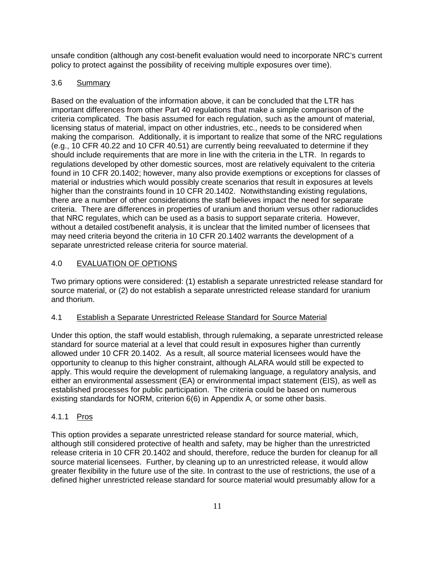unsafe condition (although any cost-benefit evaluation would need to incorporate NRC's current policy to protect against the possibility of receiving multiple exposures over time).

# 3.6 Summary

Based on the evaluation of the information above, it can be concluded that the LTR has important differences from other Part 40 regulations that make a simple comparison of the criteria complicated. The basis assumed for each regulation, such as the amount of material, licensing status of material, impact on other industries, etc., needs to be considered when making the comparison. Additionally, it is important to realize that some of the NRC regulations (e.g., 10 CFR 40.22 and 10 CFR 40.51) are currently being reevaluated to determine if they should include requirements that are more in line with the criteria in the LTR. In regards to regulations developed by other domestic sources, most are relatively equivalent to the criteria found in 10 CFR 20.1402; however, many also provide exemptions or exceptions for classes of material or industries which would possibly create scenarios that result in exposures at levels higher than the constraints found in 10 CFR 20.1402. Notwithstanding existing regulations, there are a number of other considerations the staff believes impact the need for separate criteria. There are differences in properties of uranium and thorium versus other radionuclides that NRC regulates, which can be used as a basis to support separate criteria. However, without a detailed cost/benefit analysis, it is unclear that the limited number of licensees that may need criteria beyond the criteria in 10 CFR 20.1402 warrants the development of a separate unrestricted release criteria for source material.

# 4.0 EVALUATION OF OPTIONS

Two primary options were considered: (1) establish a separate unrestricted release standard for source material, or (2) do not establish a separate unrestricted release standard for uranium and thorium.

## 4.1 Establish a Separate Unrestricted Release Standard for Source Material

Under this option, the staff would establish, through rulemaking, a separate unrestricted release standard for source material at a level that could result in exposures higher than currently allowed under 10 CFR 20.1402. As a result, all source material licensees would have the opportunity to cleanup to this higher constraint, although ALARA would still be expected to apply. This would require the development of rulemaking language, a regulatory analysis, and either an environmental assessment (EA) or environmental impact statement (EIS), as well as established processes for public participation. The criteria could be based on numerous existing standards for NORM, criterion 6(6) in Appendix A, or some other basis.

## 4.1.1 Pros

This option provides a separate unrestricted release standard for source material, which, although still considered protective of health and safety, may be higher than the unrestricted release criteria in 10 CFR 20.1402 and should, therefore, reduce the burden for cleanup for all source material licensees. Further, by cleaning up to an unrestricted release, it would allow greater flexibility in the future use of the site. In contrast to the use of restrictions, the use of a defined higher unrestricted release standard for source material would presumably allow for a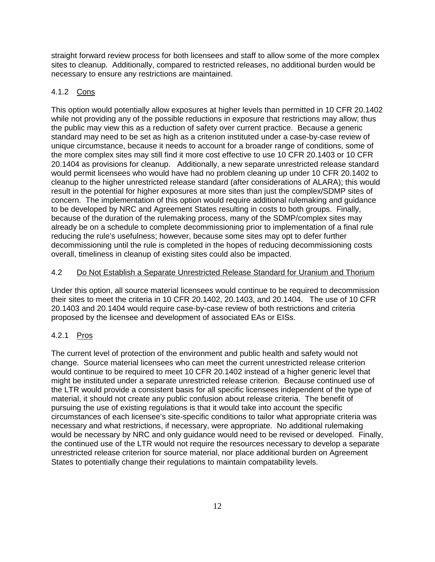straight forward review process for both licensees and staff to allow some of the more complex sites to cleanup. Additionally, compared to restricted releases, no additional burden would be necessary to ensure any restrictions are maintained.

## 4.1.2 Cons

This option would potentially allow exposures at higher levels than permitted in 10 CFR 20.1402 while not providing any of the possible reductions in exposure that restrictions may allow; thus the public may view this as a reduction of safety over current practice. Because a generic standard may need to be set as high as a criterion instituted under a case-by-case review of unique circumstance, because it needs to account for a broader range of conditions, some of the more complex sites may still find it more cost effective to use 10 CFR 20.1403 or 10 CFR 20.1404 as provisions for cleanup. Additionally, a new separate unrestricted release standard would permit licensees who would have had no problem cleaning up under 10 CFR 20.1402 to cleanup to the higher unrestricted release standard (after considerations of ALARA); this would result in the potential for higher exposures at more sites than just the complex/SDMP sites of concern. The implementation of this option would require additional rulemaking and guidance to be developed by NRC and Agreement States resulting in costs to both groups. Finally, because of the duration of the rulemaking process, many of the SDMP/complex sites may already be on a schedule to complete decommissioning prior to implementation of a final rule reducing the rule's usefulness; however, because some sites may opt to defer further decommissioning until the rule is completed in the hopes of reducing decommissioning costs overall, timeliness in cleanup of existing sites could also be impacted.

## 4.2 Do Not Establish a Separate Unrestricted Release Standard for Uranium and Thorium

Under this option, all source material licensees would continue to be required to decommission their sites to meet the criteria in 10 CFR 20.1402, 20.1403, and 20.1404. The use of 10 CFR 20.1403 and 20.1404 would require case-by-case review of both restrictions and criteria proposed by the licensee and development of associated EAs or EISs.

## 4.2.1 Pros

The current level of protection of the environment and public health and safety would not change. Source material licensees who can meet the current unrestricted release criterion would continue to be required to meet 10 CFR 20.1402 instead of a higher generic level that might be instituted under a separate unrestricted release criterion. Because continued use of the LTR would provide a consistent basis for all specific licensees independent of the type of material, it should not create any public confusion about release criteria. The benefit of pursuing the use of existing regulations is that it would take into account the specific circumstances of each licensee's site-specific conditions to tailor what appropriate criteria was necessary and what restrictions, if necessary, were appropriate. No additional rulemaking would be necessary by NRC and only guidance would need to be revised or developed. Finally, the continued use of the LTR would not require the resources necessary to develop a separate unrestricted release criterion for source material, nor place additional burden on Agreement States to potentially change their regulations to maintain compatability levels.